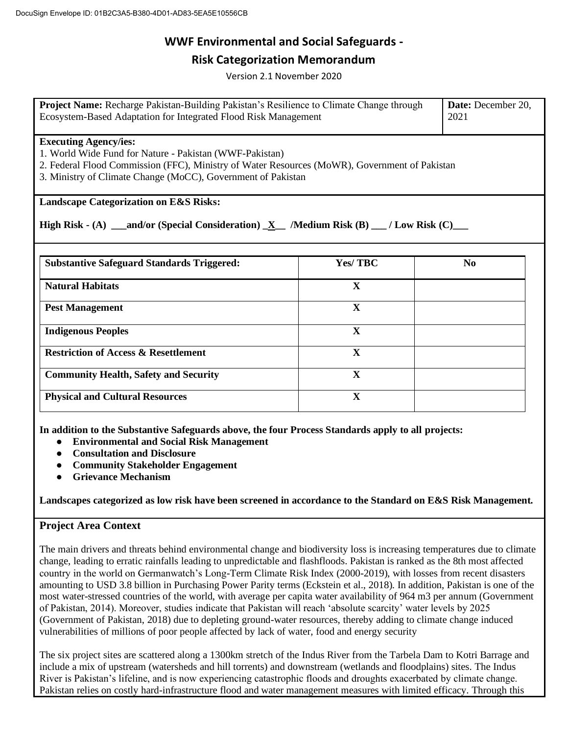## **Risk Categorization Memorandum**

Version 2.1 November 2020

| Project Name: Recharge Pakistan-Building Pakistan's Resilience to Climate Change through<br>Ecosystem-Based Adaptation for Integrated Flood Risk Management                                                                                              |              | Date: December 20,<br>2021 |
|----------------------------------------------------------------------------------------------------------------------------------------------------------------------------------------------------------------------------------------------------------|--------------|----------------------------|
| <b>Executing Agency/ies:</b><br>1. World Wide Fund for Nature - Pakistan (WWF-Pakistan)<br>2. Federal Flood Commission (FFC), Ministry of Water Resources (MoWR), Government of Pakistan<br>3. Ministry of Climate Change (MoCC), Government of Pakistan |              |                            |
| <b>Landscape Categorization on E&amp;S Risks:</b>                                                                                                                                                                                                        |              |                            |
| High Risk $(A)$ ____and/or (Special Consideration) $X$ /Medium Risk (B) ____/ Low Risk (C)_____                                                                                                                                                          |              |                            |
|                                                                                                                                                                                                                                                          |              |                            |
| <b>Substantive Safeguard Standards Triggered:</b>                                                                                                                                                                                                        | Yes/TBC      | N <sub>0</sub>             |
| <b>Natural Habitats</b>                                                                                                                                                                                                                                  | X            |                            |
| <b>Pest Management</b>                                                                                                                                                                                                                                   | X            |                            |
| <b>Indigenous Peoples</b>                                                                                                                                                                                                                                | $\mathbf{X}$ |                            |
| <b>Restriction of Access &amp; Resettlement</b>                                                                                                                                                                                                          | X            |                            |
| <b>Community Health, Safety and Security</b>                                                                                                                                                                                                             | X            |                            |
| <b>Physical and Cultural Resources</b>                                                                                                                                                                                                                   | $\mathbf X$  |                            |

**In addition to the Substantive Safeguards above, the four Process Standards apply to all projects:**

- **Environmental and Social Risk Management**
- **Consultation and Disclosure**
- **Community Stakeholder Engagement**
- **Grievance Mechanism**

**Landscapes categorized as low risk have been screened in accordance to the Standard on E&S Risk Management.**

## **Project Area Context**

The main drivers and threats behind environmental change and biodiversity loss is increasing temperatures due to climate change, leading to erratic rainfalls leading to unpredictable and flashfloods. Pakistan is ranked as the 8th most affected country in the world on Germanwatch's Long-Term Climate Risk Index (2000-2019), with losses from recent disasters amounting to USD 3.8 billion in Purchasing Power Parity terms (Eckstein et al., 2018). In addition, Pakistan is one of the most water-stressed countries of the world, with average per capita water availability of 964 m3 per annum (Government of Pakistan, 2014). Moreover, studies indicate that Pakistan will reach 'absolute scarcity' water levels by 2025 (Government of Pakistan, 2018) due to depleting ground-water resources, thereby adding to climate change induced vulnerabilities of millions of poor people affected by lack of water, food and energy security

The six project sites are scattered along a 1300km stretch of the Indus River from the Tarbela Dam to Kotri Barrage and include a mix of upstream (watersheds and hill torrents) and downstream (wetlands and floodplains) sites. The Indus River is Pakistan's lifeline, and is now experiencing catastrophic floods and droughts exacerbated by climate change. Pakistan relies on costly hard-infrastructure flood and water management measures with limited efficacy. Through this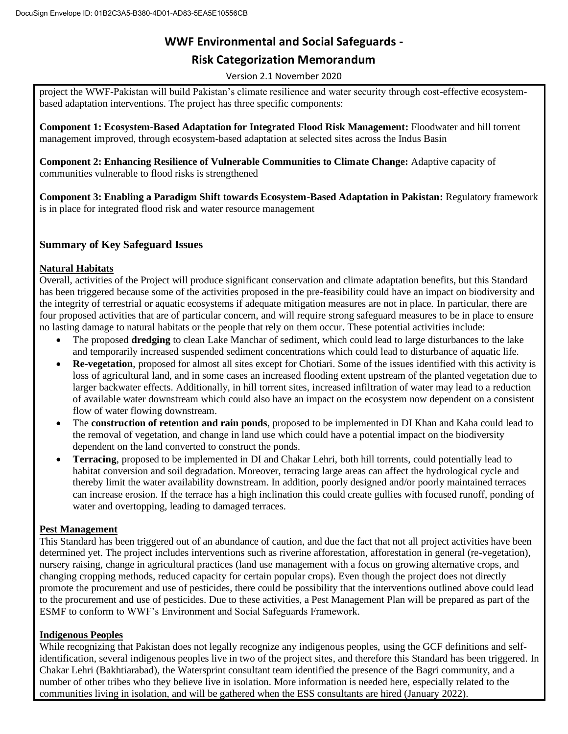## **Risk Categorization Memorandum**

Version 2.1 November 2020

project the WWF-Pakistan will build Pakistan's climate resilience and water security through cost-effective ecosystembased adaptation interventions. The project has three specific components:

**Component 1: Ecosystem-Based Adaptation for Integrated Flood Risk Management:** Floodwater and hill torrent management improved, through ecosystem-based adaptation at selected sites across the Indus Basin

**Component 2: Enhancing Resilience of Vulnerable Communities to Climate Change:** Adaptive capacity of communities vulnerable to flood risks is strengthened

**Component 3: Enabling a Paradigm Shift towards Ecosystem-Based Adaptation in Pakistan:** Regulatory framework is in place for integrated flood risk and water resource management

## **Summary of Key Safeguard Issues**

#### **Natural Habitats**

Overall, activities of the Project will produce significant conservation and climate adaptation benefits, but this Standard has been triggered because some of the activities proposed in the pre-feasibility could have an impact on biodiversity and the integrity of terrestrial or aquatic ecosystems if adequate mitigation measures are not in place. In particular, there are four proposed activities that are of particular concern, and will require strong safeguard measures to be in place to ensure no lasting damage to natural habitats or the people that rely on them occur. These potential activities include:

- The proposed **dredging** to clean Lake Manchar of sediment, which could lead to large disturbances to the lake and temporarily increased suspended sediment concentrations which could lead to disturbance of aquatic life.
- **Re-vegetation**, proposed for almost all sites except for Chotiari. Some of the issues identified with this activity is loss of agricultural land, and in some cases an increased flooding extent upstream of the planted vegetation due to larger backwater effects. Additionally, in hill torrent sites, increased infiltration of water may lead to a reduction of available water downstream which could also have an impact on the ecosystem now dependent on a consistent flow of water flowing downstream.
- The **construction of retention and rain ponds**, proposed to be implemented in DI Khan and Kaha could lead to the removal of vegetation, and change in land use which could have a potential impact on the biodiversity dependent on the land converted to construct the ponds.
- **Terracing**, proposed to be implemented in DI and Chakar Lehri, both hill torrents, could potentially lead to habitat conversion and soil degradation. Moreover, terracing large areas can affect the hydrological cycle and thereby limit the water availability downstream. In addition, poorly designed and/or poorly maintained terraces can increase erosion. If the terrace has a high inclination this could create gullies with focused runoff, ponding of water and overtopping, leading to damaged terraces.

## **Pest Management**

This Standard has been triggered out of an abundance of caution, and due the fact that not all project activities have been determined yet. The project includes interventions such as riverine afforestation, afforestation in general (re-vegetation), nursery raising, change in agricultural practices (land use management with a focus on growing alternative crops, and changing cropping methods, reduced capacity for certain popular crops). Even though the project does not directly promote the procurement and use of pesticides, there could be possibility that the interventions outlined above could lead to the procurement and use of pesticides. Due to these activities, a Pest Management Plan will be prepared as part of the ESMF to conform to WWF's Environment and Social Safeguards Framework.

## **Indigenous Peoples**

While recognizing that Pakistan does not legally recognize any indigenous peoples, using the GCF definitions and selfidentification, several indigenous peoples live in two of the project sites, and therefore this Standard has been triggered. In Chakar Lehri (Bakhtiarabad), the Watersprint consultant team identified the presence of the Bagri community, and a number of other tribes who they believe live in isolation. More information is needed here, especially related to the communities living in isolation, and will be gathered when the ESS consultants are hired (January 2022).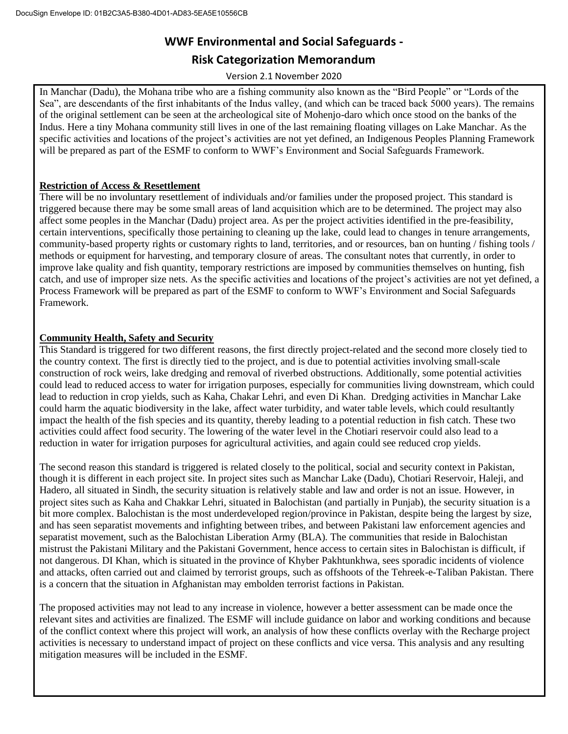## **Risk Categorization Memorandum**

Version 2.1 November 2020

In Manchar (Dadu), the Mohana tribe who are a fishing community also known as the "Bird People" or "Lords of the Sea", are descendants of the first inhabitants of the Indus valley, (and which can be traced back 5000 years). The remains of the original settlement can be seen at the archeological site of Mohenjo-daro which once stood on the banks of the Indus. Here a tiny Mohana community still lives in one of the last remaining floating villages on Lake Manchar. As the specific activities and locations of the project's activities are not yet defined, an Indigenous Peoples Planning Framework will be prepared as part of the ESMF to conform to WWF's Environment and Social Safeguards Framework.

## **Restriction of Access & Resettlement**

There will be no involuntary resettlement of individuals and/or families under the proposed project. This standard is triggered because there may be some small areas of land acquisition which are to be determined. The project may also affect some peoples in the Manchar (Dadu) project area. As per the project activities identified in the pre-feasibility, certain interventions, specifically those pertaining to cleaning up the lake, could lead to changes in tenure arrangements, community-based property rights or customary rights to land, territories, and or resources, ban on hunting / fishing tools / methods or equipment for harvesting, and temporary closure of areas. The consultant notes that currently, in order to improve lake quality and fish quantity, temporary restrictions are imposed by communities themselves on hunting, fish catch, and use of improper size nets. As the specific activities and locations of the project's activities are not yet defined, a Process Framework will be prepared as part of the ESMF to conform to WWF's Environment and Social Safeguards Framework.

## **Community Health, Safety and Security**

This Standard is triggered for two different reasons, the first directly project-related and the second more closely tied to the country context. The first is directly tied to the project, and is due to potential activities involving small-scale construction of rock weirs, lake dredging and removal of riverbed obstructions. Additionally, some potential activities could lead to reduced access to water for irrigation purposes, especially for communities living downstream, which could lead to reduction in crop yields, such as Kaha, Chakar Lehri, and even Di Khan. Dredging activities in Manchar Lake could harm the aquatic biodiversity in the lake, affect water turbidity, and water table levels, which could resultantly impact the health of the fish species and its quantity, thereby leading to a potential reduction in fish catch. These two activities could affect food security. The lowering of the water level in the Chotiari reservoir could also lead to a reduction in water for irrigation purposes for agricultural activities, and again could see reduced crop yields.

The second reason this standard is triggered is related closely to the political, social and security context in Pakistan, though it is different in each project site. In project sites such as Manchar Lake (Dadu), Chotiari Reservoir, Haleji, and Hadero, all situated in Sindh, the security situation is relatively stable and law and order is not an issue. However, in project sites such as Kaha and Chakkar Lehri, situated in Balochistan (and partially in Punjab), the security situation is a bit more complex. Balochistan is the most underdeveloped region/province in Pakistan, despite being the largest by size, and has seen separatist movements and infighting between tribes, and between Pakistani law enforcement agencies and separatist movement, such as the Balochistan Liberation Army (BLA). The communities that reside in Balochistan mistrust the Pakistani Military and the Pakistani Government, hence access to certain sites in Balochistan is difficult, if not dangerous. DI Khan, which is situated in the province of Khyber Pakhtunkhwa, sees sporadic incidents of violence and attacks, often carried out and claimed by terrorist groups, such as offshoots of the Tehreek-e-Taliban Pakistan. There is a concern that the situation in Afghanistan may embolden terrorist factions in Pakistan.

The proposed activities may not lead to any increase in violence, however a better assessment can be made once the relevant sites and activities are finalized. The ESMF will include guidance on labor and working conditions and because of the conflict context where this project will work, an analysis of how these conflicts overlay with the Recharge project activities is necessary to understand impact of project on these conflicts and vice versa. This analysis and any resulting mitigation measures will be included in the ESMF.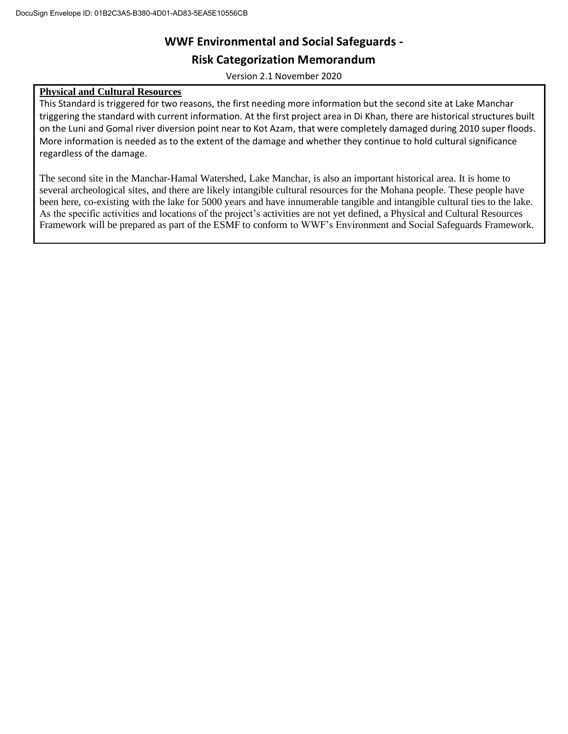**Risk Categorization Memorandum**

Version 2.1 November 2020

## **Physical and Cultural Resources**

This Standard is triggered for two reasons, the first needing more information but the second site at Lake Manchar triggering the standard with current information. At the first project area in Di Khan, there are historical structures built on the Luni and Gomal river diversion point near to Kot Azam, that were completely damaged during 2010 super floods. More information is needed as to the extent of the damage and whether they continue to hold cultural significance regardless of the damage.

The second site in the Manchar-Hamal Watershed, Lake Manchar, is also an important historical area. It is home to several archeological sites, and there are likely intangible cultural resources for the Mohana people. These people have been here, co-existing with the lake for 5000 years and have innumerable tangible and intangible cultural ties to the lake. As the specific activities and locations of the project's activities are not yet defined, a Physical and Cultural Resources Framework will be prepared as part of the ESMF to conform to WWF's Environment and Social Safeguards Framework.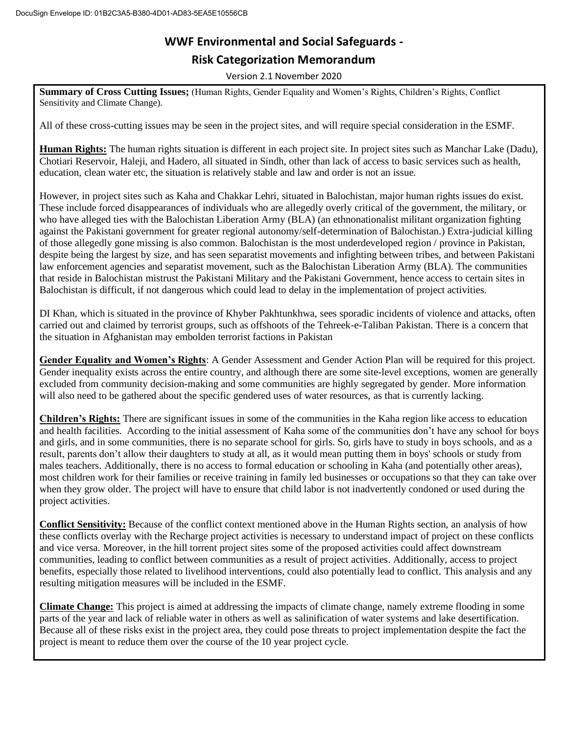# **WWF Environmental and Social Safeguards - Risk Categorization Memorandum**

Version 2.1 November 2020

**Summary of Cross Cutting Issues;** (Human Rights, Gender Equality and Women's Rights, Children's Rights, Conflict Sensitivity and Climate Change).

All of these cross-cutting issues may be seen in the project sites, and will require special consideration in the ESMF.

**Human Rights:** The human rights situation is different in each project site. In project sites such as Manchar Lake (Dadu), Chotiari Reservoir, Haleji, and Hadero, all situated in Sindh, other than lack of access to basic services such as health, education, clean water etc, the situation is relatively stable and law and order is not an issue.

However, in project sites such as Kaha and Chakkar Lehri, situated in Balochistan, major human rights issues do exist. These include forced disappearances of individuals who are allegedly overly critical of the government, the military, or who have alleged ties with the Balochistan Liberation Army (BLA) (an ethnonationalist militant organization fighting against the Pakistani government for greater regional autonomy/self-determination of Balochistan.) Extra-judicial killing of those allegedly gone missing is also common. Balochistan is the most underdeveloped region / province in Pakistan, despite being the largest by size, and has seen separatist movements and infighting between tribes, and between Pakistani law enforcement agencies and separatist movement, such as the Balochistan Liberation Army (BLA). The communities that reside in Balochistan mistrust the Pakistani Military and the Pakistani Government, hence access to certain sites in Balochistan is difficult, if not dangerous which could lead to delay in the implementation of project activities.

DI Khan, which is situated in the province of Khyber Pakhtunkhwa, sees sporadic incidents of violence and attacks, often carried out and claimed by terrorist groups, such as offshoots of the Tehreek-e-Taliban Pakistan. There is a concern that the situation in Afghanistan may embolden terrorist factions in Pakistan

**Gender Equality and Women's Rights**: A Gender Assessment and Gender Action Plan will be required for this project. Gender inequality exists across the entire country, and although there are some site-level exceptions, women are generally excluded from community decision-making and some communities are highly segregated by gender. More information will also need to be gathered about the specific gendered uses of water resources, as that is currently lacking.

**Children's Rights:** There are significant issues in some of the communities in the Kaha region like access to education and health facilities. According to the initial assessment of Kaha some of the communities don't have any school for boys and girls, and in some communities, there is no separate school for girls. So, girls have to study in boys schools, and as a result, parents don't allow their daughters to study at all, as it would mean putting them in boys' schools or study from males teachers. Additionally, there is no access to formal education or schooling in Kaha (and potentially other areas), most children work for their families or receive training in family led businesses or occupations so that they can take over when they grow older. The project will have to ensure that child labor is not inadvertently condoned or used during the project activities.

**Conflict Sensitivity:** Because of the conflict context mentioned above in the Human Rights section, an analysis of how these conflicts overlay with the Recharge project activities is necessary to understand impact of project on these conflicts and vice versa. Moreover, in the hill torrent project sites some of the proposed activities could affect downstream communities, leading to conflict between communities as a result of project activities. Additionally, access to project benefits, especially those related to livelihood interventions, could also potentially lead to conflict. This analysis and any resulting mitigation measures will be included in the ESMF.

**Climate Change:** This project is aimed at addressing the impacts of climate change, namely extreme flooding in some parts of the year and lack of reliable water in others as well as salinification of water systems and lake desertification. Because all of these risks exist in the project area, they could pose threats to project implementation despite the fact the project is meant to reduce them over the course of the 10 year project cycle.